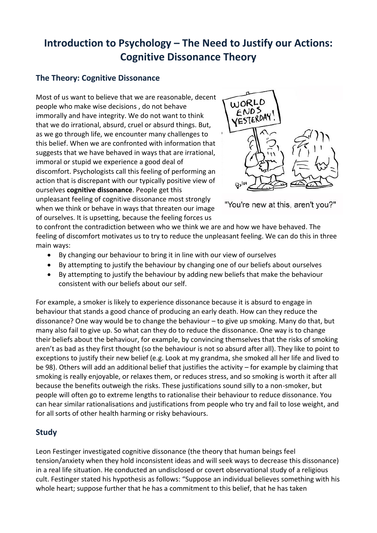## **Introduction to Psychology – The Need to Justify our Actions: Cognitive Dissonance Theory**

## **The Theory: Cognitive Dissonance**

Most of us want to believe that we are reasonable, decent people who make wise decisions , do not behave immorally and have integrity. We do not want to think that we do irrational, absurd, cruel or absurd things. But, as we go through life, we encounter many challenges to this belief. When we are confronted with information that suggests that we have behaved in ways that are irrational, immoral or stupid we experience a good deal of discomfort. Psychologists call this feeling of performing an action that is discrepant with our typically positive view of ourselves **cognitive dissonance**. People get this unpleasant feeling of cognitive dissonance most strongly when we think or behave in ways that threaten our image of ourselves. It is upsetting, because the feeling forces us



"You're new at this, aren't you?"

to confront the contradiction between who we think we are and how we have behaved. The feeling of discomfort motivates us to try to reduce the unpleasant feeling. We can do this in three main ways:

- By changing our behaviour to bring it in line with our view of ourselves
- By attempting to justify the behaviour by changing one of our beliefs about ourselves
- By attempting to justify the behaviour by adding new beliefs that make the behaviour consistent with our beliefs about our self.

For example, a smoker is likely to experience dissonance because it is absurd to engage in behaviour that stands a good chance of producing an early death. How can they reduce the dissonance? One way would be to change the behaviour – to give up smoking. Many do that, but many also fail to give up. So what can they do to reduce the dissonance. One way is to change their beliefs about the behaviour, for example, by convincing themselves that the risks of smoking aren't as bad as they first thought (so the behaviour is not so absurd after all). They like to point to exceptions to justify their new belief (e.g. Look at my grandma, she smoked all her life and lived to be 98). Others will add an additional belief that justifies the activity – for example by claiming that smoking is really enjoyable, or relaxes them, or reduces stress, and so smoking is worth it after all because the benefits outweigh the risks. These justifications sound silly to a non-smoker, but people will often go to extreme lengths to rationalise their behaviour to reduce dissonance. You can hear similar rationalisations and justifications from people who try and fail to lose weight, and for all sorts of other health harming or risky behaviours.

## **Study**

Leon Festinger investigated cognitive dissonance (the theory that human beings feel tension/anxiety when they hold inconsistent ideas and will seek ways to decrease this dissonance) in a real life situation. He conducted an undisclosed or covert observational study of a religious cult. Festinger stated his hypothesis as follows: "Suppose an individual believes something with his whole heart; suppose further that he has a commitment to this belief, that he has taken